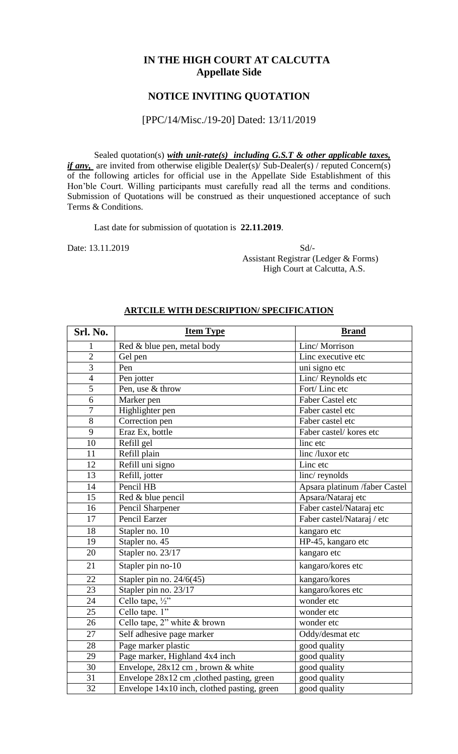## **IN THE HIGH COURT AT CALCUTTA Appellate Side**

## **NOTICE INVITING QUOTATION**

### [PPC/14/Misc./19-20] Dated: 13/11/2019

Sealed quotation(s) *with unit-rate(s) including G.S.T & other applicable taxes, if any*, are invited from otherwise eligible Dealer(s)/ Sub-Dealer(s) / reputed Concern(s) of the following articles for official use in the Appellate Side Establishment of this Hon'ble Court. Willing participants must carefully read all the terms and conditions. Submission of Quotations will be construed as their unquestioned acceptance of such Terms & Conditions.

Last date for submission of quotation is **22.11.2019**.

Date: 13.11.2019 Sd/- Assistant Registrar (Ledger & Forms) High Court at Calcutta, A.S.

| Srl. No.       | <b>Item Type</b>                            | <b>Brand</b>                  |  |
|----------------|---------------------------------------------|-------------------------------|--|
| 1              | Red & blue pen, metal body                  | Linc/Morrison                 |  |
| $\overline{2}$ | Gel pen                                     | Linc executive etc            |  |
| $\overline{3}$ | Pen                                         | uni signo etc                 |  |
| $\overline{4}$ | Pen jotter                                  | Linc/ Reynolds etc            |  |
| 5              | Pen, use & throw                            | Fort/Linc etc                 |  |
| $\overline{6}$ | Marker pen                                  | Faber Castel etc              |  |
| $\overline{7}$ | Highlighter pen                             | Faber castel etc              |  |
| 8              | Correction pen                              | Faber castel etc              |  |
| 9              | Eraz Ex, bottle                             | Faber castel/kores etc        |  |
| 10             | Refill gel                                  | linc etc                      |  |
| 11             | Refill plain                                | linc /luxor etc               |  |
| 12             | Refill uni signo                            | Linc etc                      |  |
| 13             | Refill, jotter                              | linc/reynolds                 |  |
| 14             | Pencil HB                                   | Apsara platinum /faber Castel |  |
| 15             | Red & blue pencil                           | Apsara/Nataraj etc            |  |
| 16             | Pencil Sharpener                            | Faber castel/Nataraj etc      |  |
| 17             | Pencil Earzer                               | Faber castel/Nataraj / etc    |  |
| 18             | Stapler no. 10                              | kangaro etc                   |  |
| 19             | Stapler no. 45                              | HP-45, kangaro etc            |  |
| 20             | Stapler no. 23/17                           | kangaro etc                   |  |
| 21             | Stapler pin no-10                           | kangaro/kores etc             |  |
| 22             | Stapler pin no. $24/6(45)$                  | kangaro/kores                 |  |
| 23             | Stapler pin no. 23/17                       | kangaro/kores etc             |  |
| 24             | Cello tape, $\frac{1}{2}$ "                 | wonder etc                    |  |
| 25             | Cello tape. 1"                              | wonder etc                    |  |
| 26             | Cello tape, 2" white & brown                | wonder etc                    |  |
| 27             | Self adhesive page marker                   | Oddy/desmat etc               |  |
| 28             | Page marker plastic                         | good quality                  |  |
| 29             | Page marker, Highland 4x4 inch              | good quality                  |  |
| 30             | Envelope, 28x12 cm, brown & white           | good quality                  |  |
| 31             | Envelope 28x12 cm, clothed pasting, green   | good quality                  |  |
| 32             | Envelope 14x10 inch, clothed pasting, green | good quality                  |  |

#### **ARTCILE WITH DESCRIPTION/ SPECIFICATION**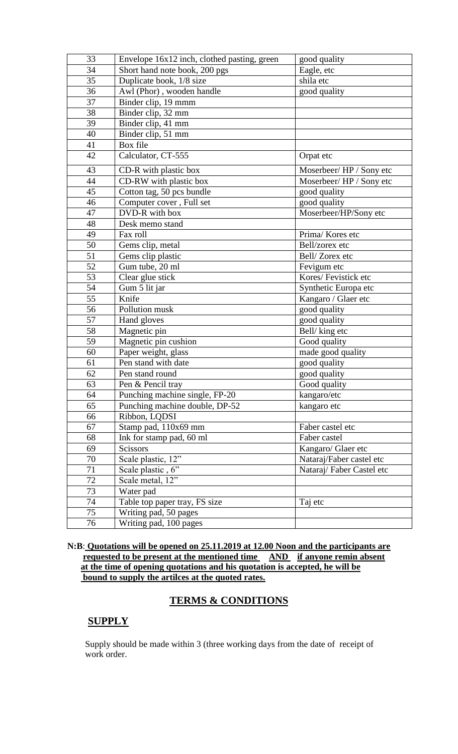| 33 | Envelope 16x12 inch, clothed pasting, green | good quality               |  |
|----|---------------------------------------------|----------------------------|--|
| 34 | Eagle, etc<br>Short hand note book, 200 pgs |                            |  |
| 35 | Duplicate book, 1/8 size                    | shila etc                  |  |
| 36 | Awl (Phor), wooden handle                   | good quality               |  |
| 37 | Binder clip, 19 mmm                         |                            |  |
| 38 | Binder clip, 32 mm                          |                            |  |
| 39 | Binder clip, 41 mm                          |                            |  |
| 40 | Binder clip, 51 mm                          |                            |  |
| 41 | Box file                                    |                            |  |
| 42 | Calculator, CT-555                          | Orpat etc                  |  |
| 43 | CD-R with plastic box                       | Moserbeer/HP / Sony etc    |  |
| 44 | CD-RW with plastic box                      | Moserbeer/HP / Sony etc    |  |
| 45 | Cotton tag, 50 pcs bundle                   | good quality               |  |
| 46 | Computer cover, Full set                    | good quality               |  |
| 47 | DVD-R with box                              | Moserbeer/HP/Sony etc      |  |
| 48 | Desk memo stand                             |                            |  |
| 49 | Fax roll                                    | Prima/Kores etc            |  |
| 50 | Gems clip, metal                            | Bell/zorex etc             |  |
| 51 | Gems clip plastic                           | Bell/Zorex etc             |  |
| 52 | Gum tube, 20 ml                             | Fevigum etc                |  |
| 53 | Clear glue stick                            | Kores/Fevistick etc        |  |
| 54 | Gum 5 lit jar                               | Synthetic Europa etc       |  |
| 55 | Knife                                       | Kangaro / Glaer etc        |  |
| 56 | Pollution musk                              | good quality               |  |
| 57 | Hand gloves                                 | good quality               |  |
| 58 | Magnetic pin                                | Bell/king etc              |  |
| 59 | Magnetic pin cushion                        | Good quality               |  |
| 60 | Paper weight, glass                         | made good quality          |  |
| 61 | Pen stand with date                         | good quality               |  |
| 62 | Pen stand round                             | good quality               |  |
| 63 | Pen & Pencil trav                           | $\overline{G}$ ood quality |  |
| 64 | Punching machine single, FP-20              | kangaro/etc                |  |
| 65 | Punching machine double, DP-52              | kangaro etc                |  |
| 66 | Ribbon, LQDSI                               |                            |  |
| 67 | Stamp pad, 110x69 mm                        | Faber castel etc           |  |
| 68 | Ink for stamp pad, 60 ml                    | Faber castel               |  |
| 69 | Scissors                                    | Kangaro/ Glaer etc         |  |
| 70 | Scale plastic, 12"                          | Nataraj/Faber castel etc   |  |
| 71 | Scale plastic, 6"                           | Nataraj/Faber Castel etc   |  |
| 72 | Scale metal, 12"                            |                            |  |
| 73 | Water pad                                   |                            |  |
| 74 | Table top paper tray, FS size               | Taj etc                    |  |
| 75 | Writing pad, 50 pages                       |                            |  |
| 76 | Writing pad, 100 pages                      |                            |  |

**N:B**: **Quotations will be opened on 25.11.2019 at 12.00 Noon and the participants are requested to be present at the mentioned time AND if anyone remin absent at the time of opening quotations and his quotation is accepted, he will be bound to supply the artilces at the quoted rates.**

# **TERMS & CONDITIONS**

## **SUPPLY**

Supply should be made within 3 (three working days from the date of receipt of work order.